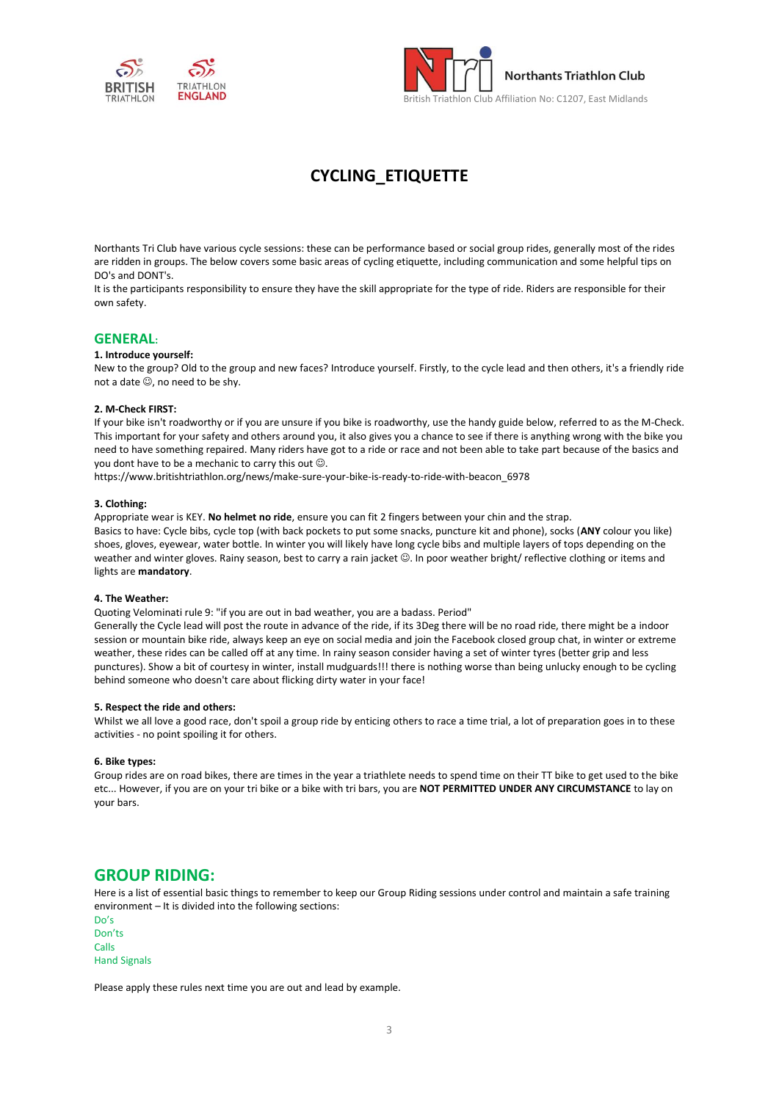



# **CYCLING\_ETIQUETTE**

Northants Tri Club have various cycle sessions: these can be performance based or social group rides, generally most of the rides are ridden in groups. The below covers some basic areas of cycling etiquette, including communication and some helpful tips on DO's and DONT's.

It is the participants responsibility to ensure they have the skill appropriate for the type of ride. Riders are responsible for their own safety.

### **GENERAL:**

#### **1. Introduce yourself:**

New to the group? Old to the group and new faces? Introduce yourself. Firstly, to the cycle lead and then others, it's a friendly ride not a date  $\mathbb{O}$ , no need to be shy.

#### **2. M-Check FIRST:**

If your bike isn't roadworthy or if you are unsure if you bike is roadworthy, use the handy guide below, referred to as the M-Check. This important for your safety and others around you, it also gives you a chance to see if there is anything wrong with the bike you need to have something repaired. Many riders have got to a ride or race and not been able to take part because of the basics and you dont have to be a mechanic to carry this out ☺.

https://www.britishtriathlon.org/news/make-sure-your-bike-is-ready-to-ride-with-beacon\_6978

#### **3. Clothing:**

Appropriate wear is KEY. **No helmet no ride**, ensure you can fit 2 fingers between your chin and the strap.

Basics to have: Cycle bibs, cycle top (with back pockets to put some snacks, puncture kit and phone), socks (**ANY** colour you like) shoes, gloves, eyewear, water bottle. In winter you will likely have long cycle bibs and multiple layers of tops depending on the weather and winter gloves. Rainy season, best to carry a rain jacket ©. In poor weather bright/ reflective clothing or items and lights are **mandatory**.

#### **4. The Weather:**

Quoting Velominati rule 9: "if you are out in bad weather, you are a badass. Period"

Generally the Cycle lead will post the route in advance of the ride, if its 3Deg there will be no road ride, there might be a indoor session or mountain bike ride, always keep an eye on social media and join the Facebook closed group chat, in winter or extreme weather, these rides can be called off at any time. In rainy season consider having a set of winter tyres (better grip and less punctures). Show a bit of courtesy in winter, install mudguards!!! there is nothing worse than being unlucky enough to be cycling behind someone who doesn't care about flicking dirty water in your face!

#### **5. Respect the ride and others:**

Whilst we all love a good race, don't spoil a group ride by enticing others to race a time trial, a lot of preparation goes in to these activities - no point spoiling it for others.

#### **6. Bike types:**

Group rides are on road bikes, there are times in the year a triathlete needs to spend time on their TT bike to get used to the bike etc... However, if you are on your tri bike or a bike with tri bars, you are **NOT PERMITTED UNDER ANY CIRCUMSTANCE** to lay on your bars.

### **GROUP RIDING:**

Here is a list of essential basic things to remember to keep our Group Riding sessions under control and maintain a safe training environment – It is divided into the following sections:

Do's Don'ts Calls Hand Signals

Please apply these rules next time you are out and lead by example.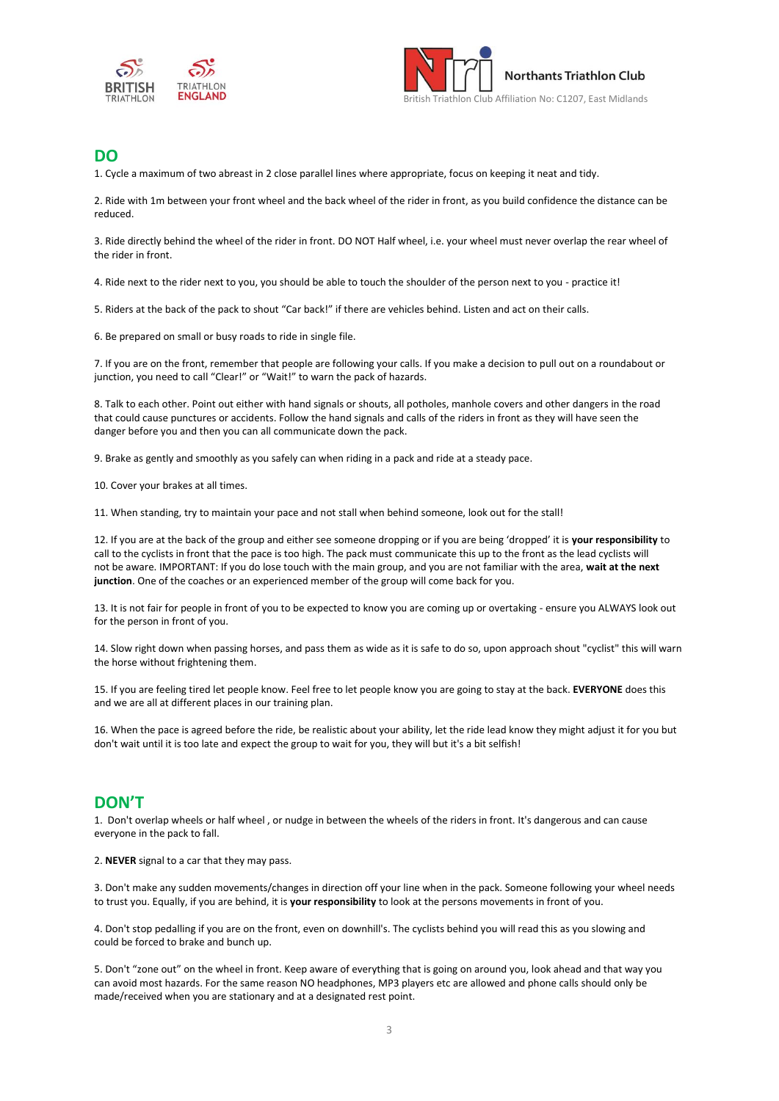



## **DO**

1. Cycle a maximum of two abreast in 2 close parallel lines where appropriate, focus on keeping it neat and tidy.

2. Ride with 1m between your front wheel and the back wheel of the rider in front, as you build confidence the distance can be reduced.

3. Ride directly behind the wheel of the rider in front. DO NOT Half wheel, i.e. your wheel must never overlap the rear wheel of the rider in front.

4. Ride next to the rider next to you, you should be able to touch the shoulder of the person next to you - practice it!

5. Riders at the back of the pack to shout "Car back!" if there are vehicles behind. Listen and act on their calls.

6. Be prepared on small or busy roads to ride in single file.

7. If you are on the front, remember that people are following your calls. If you make a decision to pull out on a roundabout or junction, you need to call "Clear!" or "Wait!" to warn the pack of hazards.

8. Talk to each other. Point out either with hand signals or shouts, all potholes, manhole covers and other dangers in the road that could cause punctures or accidents. Follow the hand signals and calls of the riders in front as they will have seen the danger before you and then you can all communicate down the pack.

9. Brake as gently and smoothly as you safely can when riding in a pack and ride at a steady pace.

10. Cover your brakes at all times.

11. When standing, try to maintain your pace and not stall when behind someone, look out for the stall!

12. If you are at the back of the group and either see someone dropping or if you are being 'dropped' it is **your responsibility** to call to the cyclists in front that the pace is too high. The pack must communicate this up to the front as the lead cyclists will not be aware. IMPORTANT: If you do lose touch with the main group, and you are not familiar with the area, **wait at the next junction**. One of the coaches or an experienced member of the group will come back for you.

13. It is not fair for people in front of you to be expected to know you are coming up or overtaking - ensure you ALWAYS look out for the person in front of you.

14. Slow right down when passing horses, and pass them as wide as it is safe to do so, upon approach shout "cyclist" this will warn the horse without frightening them.

15. If you are feeling tired let people know. Feel free to let people know you are going to stay at the back. **EVERYONE** does this and we are all at different places in our training plan.

16. When the pace is agreed before the ride, be realistic about your ability, let the ride lead know they might adjust it for you but don't wait until it is too late and expect the group to wait for you, they will but it's a bit selfish!

### **DON'T**

1. Don't overlap wheels or half wheel , or nudge in between the wheels of the riders in front. It's dangerous and can cause everyone in the pack to fall.

2. **NEVER** signal to a car that they may pass.

3. Don't make any sudden movements/changes in direction off your line when in the pack. Someone following your wheel needs to trust you. Equally, if you are behind, it is **your responsibility** to look at the persons movements in front of you.

4. Don't stop pedalling if you are on the front, even on downhill's. The cyclists behind you will read this as you slowing and could be forced to brake and bunch up.

5. Don't "zone out" on the wheel in front. Keep aware of everything that is going on around you, look ahead and that way you can avoid most hazards. For the same reason NO headphones, MP3 players etc are allowed and phone calls should only be made/received when you are stationary and at a designated rest point.